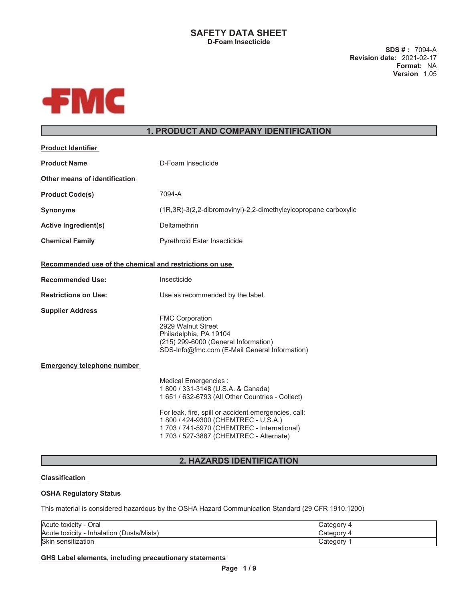# **SAFETY DATA SHEET D-Foam Insecticide**

**SDS # :** 7094-A **Revision date:** 2021-02-17 **Format:** NA **Version** 1.05



# **1. PRODUCT AND COMPANY IDENTIFICATION**

| <b>Product Identifier</b>                               |                                                                                                                                                                                                                 |
|---------------------------------------------------------|-----------------------------------------------------------------------------------------------------------------------------------------------------------------------------------------------------------------|
| <b>Product Name</b>                                     | D-Foam Insecticide                                                                                                                                                                                              |
| Other means of identification                           |                                                                                                                                                                                                                 |
| <b>Product Code(s)</b>                                  | 7094-A                                                                                                                                                                                                          |
| <b>Synonyms</b>                                         | (1R,3R)-3(2,2-dibromovinyl)-2,2-dimethylcylcopropane carboxylic                                                                                                                                                 |
| <b>Active Ingredient(s)</b>                             | Deltamethrin                                                                                                                                                                                                    |
| <b>Chemical Family</b>                                  | <b>Pyrethroid Ester Insecticide</b>                                                                                                                                                                             |
| Recommended use of the chemical and restrictions on use |                                                                                                                                                                                                                 |
| <b>Recommended Use:</b>                                 | Insecticide                                                                                                                                                                                                     |
| <b>Restrictions on Use:</b>                             | Use as recommended by the label.                                                                                                                                                                                |
| <b>Supplier Address</b>                                 | <b>FMC Corporation</b><br>2929 Walnut Street<br>Philadelphia, PA 19104<br>(215) 299-6000 (General Information)<br>SDS-Info@fmc.com (E-Mail General Information)                                                 |
| <b>Emergency telephone number</b>                       |                                                                                                                                                                                                                 |
|                                                         | Medical Emergencies :<br>1 800 / 331-3148 (U.S.A. & Canada)<br>1 651 / 632-6793 (All Other Countries - Collect)<br>For leak, fire, spill or accident emergencies, call:<br>1 800 / 424-9300 (CHEMTREC - U.S.A.) |
|                                                         | 1 703 / 741-5970 (CHEMTREC - International)<br>1 703 / 527-3887 (CHEMTREC - Alternate)                                                                                                                          |
|                                                         |                                                                                                                                                                                                                 |

# **2. HAZARDS IDENTIFICATION**

# **Classification**

# **OSHA Regulatory Status**

This material is considered hazardous by the OSHA Hazard Communication Standard (29 CFR 1910.1200)

| Acute<br>Oral<br>toxicity                                   | $-1 - 1$<br>21 L L |
|-------------------------------------------------------------|--------------------|
| usts/Mists`<br>Acute<br>'Dι<br>toxicity<br>halatioi<br>-Inf | ---<br>valo        |
| <b>Skin</b><br>sensitization                                | l∪aledor           |

**GHS Label elements, including precautionary statements**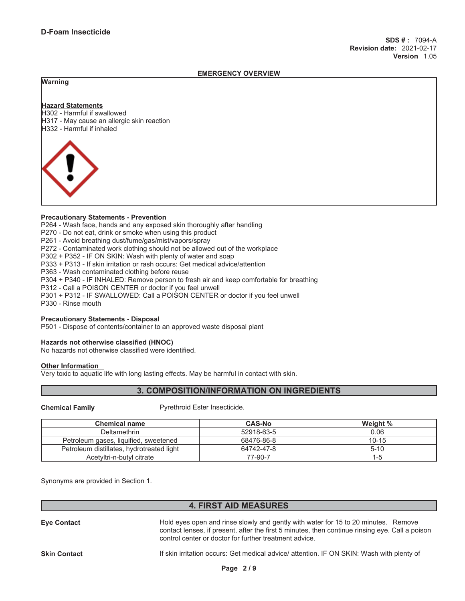### **EMERGENCY OVERVIEW**

# **Warning**

# **Hazard Statements**

H302 - Harmful if swallowed H317 - May cause an allergic skin reaction H332 - Harmful if inhaled



### **Precautionary Statements - Prevention**

P264 - Wash face, hands and any exposed skin thoroughly after handling

P270 - Do not eat, drink or smoke when using this product

P261 - Avoid breathing dust/fume/gas/mist/vapors/spray

P272 - Contaminated work clothing should not be allowed out of the workplace

P302 + P352 - IF ON SKIN: Wash with plenty of water and soap

P333 + P313 - If skin irritation or rash occurs: Get medical advice/attention

P363 - Wash contaminated clothing before reuse

P304 + P340 - IF INHALED: Remove person to fresh air and keep comfortable for breathing

P312 - Call a POISON CENTER or doctor if you feel unwell

P301 + P312 - IF SWALLOWED: Call a POISON CENTER or doctor if you feel unwell

P330 - Rinse mouth

### **Precautionary Statements - Disposal**

P501 - Dispose of contents/container to an approved waste disposal plant

### **Hazards not otherwise classified (HNOC)**

No hazards not otherwise classified were identified.

#### **Other Information**

Very toxic to aquatic life with long lasting effects. May be harmful in contact with skin.

# **3. COMPOSITION/INFORMATION ON INGREDIENTS**

**Chemical Family Pyrethroid Ester Insecticide.** 

| <b>Chemical name</b>                      | <b>CAS-No</b> | Weight %  |
|-------------------------------------------|---------------|-----------|
| Deltamethrin                              | 52918-63-5    | 0.06      |
| Petroleum gases, liquified, sweetened     | 68476-86-8    | $10 - 15$ |
| Petroleum distillates, hydrotreated light | 64742-47-8    | $5 - 10$  |
| Acetyltri-n-butyl citrate                 | 77-90-7       | 1-5       |

Synonyms are provided in Section 1.

# **4. FIRST AID MEASURES**

**Eye Contact** Hold eyes open and rinse slowly and gently with water for 15 to 20 minutes. Remove contact lenses, if present, after the first 5 minutes, then continue rinsing eye. Call a poison control center or doctor for further treatment advice.

**Skin Contact If skin irritation occurs: Get medical advice/ attention. IF ON SKIN: Wash with plenty of**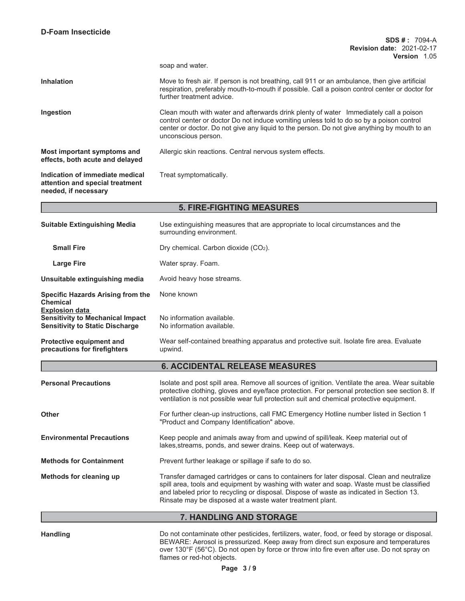|  |  | soap and water. |
|--|--|-----------------|
|--|--|-----------------|

| <b>Inhalation</b>                                              | Move to fresh air. If person is not breathing, call 911 or an ambulance, then give artificial<br>respiration, preferably mouth-to-mouth if possible. Call a poison control center or doctor for<br>further treatment advice.                                                                            |
|----------------------------------------------------------------|---------------------------------------------------------------------------------------------------------------------------------------------------------------------------------------------------------------------------------------------------------------------------------------------------------|
| Ingestion                                                      | Clean mouth with water and afterwards drink plenty of water Immediately call a poison<br>control center or doctor Do not induce vomiting unless told to do so by a poison control<br>center or doctor. Do not give any liquid to the person. Do not give anything by mouth to an<br>unconscious person. |
| Most important symptoms and<br>effects, both acute and delayed | Allergic skin reactions. Central nervous system effects.                                                                                                                                                                                                                                                |

**Indication of immediate medical attention and special treatment needed, if necessary**

Treat symptomatically.

# **5. FIRE-FIGHTING MEASURES**

| <b>Suitable Extinguishing Media</b>                                                  | Use extinguishing measures that are appropriate to local circumstances and the<br>surrounding environment.                                                                                                                                                                                   |
|--------------------------------------------------------------------------------------|----------------------------------------------------------------------------------------------------------------------------------------------------------------------------------------------------------------------------------------------------------------------------------------------|
| <b>Small Fire</b>                                                                    | Dry chemical. Carbon dioxide (CO2).                                                                                                                                                                                                                                                          |
| <b>Large Fire</b>                                                                    | Water spray. Foam.                                                                                                                                                                                                                                                                           |
| Unsuitable extinguishing media                                                       | Avoid heavy hose streams.                                                                                                                                                                                                                                                                    |
| <b>Specific Hazards Arising from the</b><br><b>Chemical</b><br><b>Explosion data</b> | None known                                                                                                                                                                                                                                                                                   |
| <b>Sensitivity to Mechanical Impact</b><br><b>Sensitivity to Static Discharge</b>    | No information available.<br>No information available.                                                                                                                                                                                                                                       |
| Protective equipment and<br>precautions for firefighters                             | Wear self-contained breathing apparatus and protective suit. Isolate fire area. Evaluate<br>upwind.                                                                                                                                                                                          |
|                                                                                      | <b>6. ACCIDENTAL RELEASE MEASURES</b>                                                                                                                                                                                                                                                        |
| <b>Personal Precautions</b>                                                          | Isolate and post spill area. Remove all sources of ignition. Ventilate the area. Wear suitable<br>protective clothing, gloves and eye/face protection. For personal protection see section 8. If<br>ventilation is not possible wear full protection suit and chemical protective equipment. |
| <b>Other</b>                                                                         | For further clean-up instructions, call FMC Emergency Hotline number listed in Section 1<br>"Product and Company Identification" above.                                                                                                                                                      |
| <b>Environmental Precautions</b>                                                     | Keep people and animals away from and upwind of spill/leak. Keep material out of<br>lakes, streams, ponds, and sewer drains. Keep out of waterways.                                                                                                                                          |
| <b>Methods for Containment</b>                                                       | Prevent further leakage or spillage if safe to do so.                                                                                                                                                                                                                                        |
| Methods for cleaning up                                                              | Transfer damaged cartridges or cans to containers for later disposal. Clean and neutralize<br>spill area, tools and equipment by washing with water and soap. Waste must be classified<br>and labeled prior to recycling or disposal. Dispose of waste as indicated in Section 13.           |

# **7. HANDLING AND STORAGE**

Handling **Handling** Do not contaminate other pesticides, fertilizers, water, food, or feed by storage or disposal. BEWARE: Aerosol is pressurized. Keep away from direct sun exposure and temperatures over 130°F (56°C). Do not open by force or throw into fire even after use. Do not spray on flames or red-hot objects.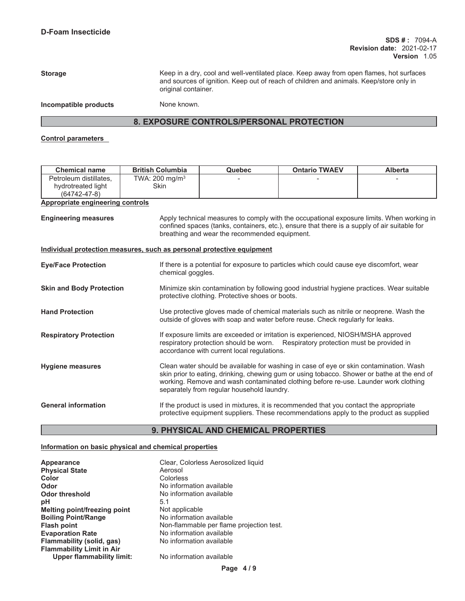**Storage** Keep in a dry, cool and well-ventilated place. Keep away from open flames, hot surfaces and sources of ignition. Keep out of reach of children and animals. Keep/store only in original container.

**Incompatible products** None known.

# **8. EXPOSURE CONTROLS/PERSONAL PROTECTION**

### **Control parameters**

| <b>Chemical name</b>                                                  | <b>British Columbia</b>    | Quebec                                                                                                                                                                                                                                     | <b>Ontario TWAEV</b>                                                                                                                                                                                                                                                         | <b>Alberta</b> |
|-----------------------------------------------------------------------|----------------------------|--------------------------------------------------------------------------------------------------------------------------------------------------------------------------------------------------------------------------------------------|------------------------------------------------------------------------------------------------------------------------------------------------------------------------------------------------------------------------------------------------------------------------------|----------------|
| Petroleum distillates,                                                | TWA: 200 mg/m <sup>3</sup> |                                                                                                                                                                                                                                            |                                                                                                                                                                                                                                                                              |                |
| hydrotreated light                                                    | Skin                       |                                                                                                                                                                                                                                            |                                                                                                                                                                                                                                                                              |                |
| $(64742 - 47 - 8)$                                                    |                            |                                                                                                                                                                                                                                            |                                                                                                                                                                                                                                                                              |                |
| <b>Appropriate engineering controls</b>                               |                            |                                                                                                                                                                                                                                            |                                                                                                                                                                                                                                                                              |                |
| <b>Engineering measures</b>                                           |                            | Apply technical measures to comply with the occupational exposure limits. When working in<br>confined spaces (tanks, containers, etc.), ensure that there is a supply of air suitable for<br>breathing and wear the recommended equipment. |                                                                                                                                                                                                                                                                              |                |
| Individual protection measures, such as personal protective equipment |                            |                                                                                                                                                                                                                                            |                                                                                                                                                                                                                                                                              |                |
| <b>Eye/Face Protection</b>                                            | chemical goggles.          |                                                                                                                                                                                                                                            | If there is a potential for exposure to particles which could cause eye discomfort, wear                                                                                                                                                                                     |                |
| <b>Skin and Body Protection</b>                                       |                            | Minimize skin contamination by following good industrial hygiene practices. Wear suitable<br>protective clothing. Protective shoes or boots.                                                                                               |                                                                                                                                                                                                                                                                              |                |
| <b>Hand Protection</b>                                                |                            | Use protective gloves made of chemical materials such as nitrile or neoprene. Wash the<br>outside of gloves with soap and water before reuse. Check regularly for leaks.                                                                   |                                                                                                                                                                                                                                                                              |                |
| <b>Respiratory Protection</b>                                         |                            | If exposure limits are exceeded or irritation is experienced, NIOSH/MSHA approved<br>respiratory protection should be worn. Respiratory protection must be provided in<br>accordance with current local regulations.                       |                                                                                                                                                                                                                                                                              |                |
| <b>Hygiene measures</b>                                               |                            | separately from regular household laundry.                                                                                                                                                                                                 | Clean water should be available for washing in case of eye or skin contamination. Wash<br>skin prior to eating, drinking, chewing gum or using tobacco. Shower or bathe at the end of<br>working. Remove and wash contaminated clothing before re-use. Launder work clothing |                |
| <b>General information</b>                                            |                            |                                                                                                                                                                                                                                            | If the product is used in mixtures, it is recommended that you contact the appropriate<br>protective equipment suppliers. These recommendations apply to the product as supplied                                                                                             |                |

# **9. PHYSICAL AND CHEMICAL PROPERTIES**

# **Information on basic physical and chemical properties**

| Appearance<br><b>Physical State</b> | Clear, Colorless Aerosolized liquid<br>Aerosol |
|-------------------------------------|------------------------------------------------|
| Color                               | Colorless                                      |
| Odor                                | No information available                       |
| <b>Odor threshold</b>               | No information available                       |
| рH                                  | 5.1                                            |
| Melting point/freezing point        | Not applicable                                 |
| <b>Boiling Point/Range</b>          | No information available                       |
| <b>Flash point</b>                  | Non-flammable per flame projection test.       |
| <b>Evaporation Rate</b>             | No information available                       |
| Flammability (solid, gas)           | No information available                       |
| <b>Flammability Limit in Air</b>    |                                                |
| <b>Upper flammability limit:</b>    | No information available                       |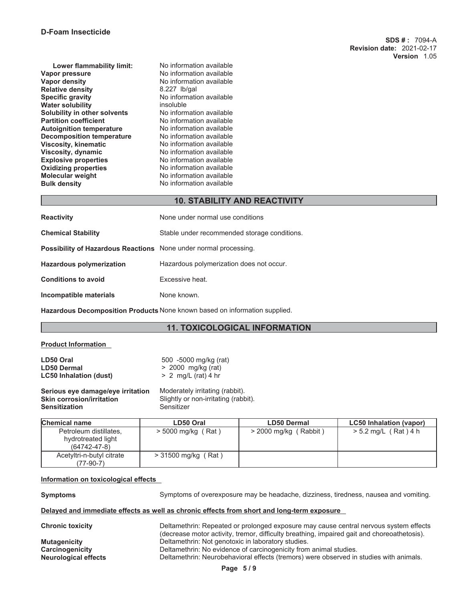| No information available<br>No information available                | No information available<br>No information available<br>No information available<br>No information available |
|---------------------------------------------------------------------|--------------------------------------------------------------------------------------------------------------|
| Molecular weight<br>No information available<br><b>Bulk density</b> |                                                                                                              |
| <b>Explosive properties</b><br><b>Oxidizing properties</b>          |                                                                                                              |

| <b>Reactivity</b>                                                       | None under normal use conditions             |
|-------------------------------------------------------------------------|----------------------------------------------|
| <b>Chemical Stability</b>                                               | Stable under recommended storage conditions. |
| <b>Possibility of Hazardous Reactions</b> None under normal processing. |                                              |
| <b>Hazardous polymerization</b>                                         | Hazardous polymerization does not occur.     |
| <b>Conditions to avoid</b>                                              | Excessive heat.                              |
| Incompatible materials                                                  | None known.                                  |

**Hazardous Decomposition Products** None known based on information supplied.

# **11. TOXICOLOGICAL INFORMATION**

#### **Product Information**

| LD50 Oral                     | 500 -5000 mg/kg (rat) |
|-------------------------------|-----------------------|
| <b>LD50 Dermal</b>            | > 2000 mg/kg (rat)    |
| <b>LC50 Inhalation (dust)</b> | $> 2$ mg/L (rat) 4 hr |
|                               |                       |

**Serious eye damage/eye irritation** Moderately irritating (rabbit).<br>**Skin corrosion/irritation** Slightly or non-irritating (rabb Slightly or non-irritating (rabbit).<br>Sensitizer **Sensitization** 

| <b>Chemical name</b>      | LD50 Oral             | <b>LD50 Dermal</b>      | <b>LC50 Inhalation (vapor)</b> |
|---------------------------|-----------------------|-------------------------|--------------------------------|
| Petroleum distillates,    | $>$ 5000 mg/kg (Rat)  | $>$ 2000 mg/kg (Rabbit) | $> 5.2$ mg/L (Rat) 4 h         |
| hydrotreated light        |                       |                         |                                |
| $(64742 - 47 - 8)$        |                       |                         |                                |
| Acetyltri-n-butyl citrate | $>$ 31500 mg/kg (Rat) |                         |                                |
| (77-90-7)                 |                       |                         |                                |

### **Information on toxicological effects**

**Symptoms** Symptoms of overexposure may be headache, dizziness, tiredness, nausea and vomiting.

#### **Delayed and immediate effects as well as chronic effects from short and long-term exposure**

| Deltamethrin: Repeated or prolonged exposure may cause central nervous system effects<br>(decrease motor activity, tremor, difficulty breathing, impaired gait and choreoathetosis).                              |
|-------------------------------------------------------------------------------------------------------------------------------------------------------------------------------------------------------------------|
| Deltamethrin: Not genotoxic in laboratory studies.<br>Deltamethrin: No evidence of carcinogenicity from animal studies.<br>Deltamethrin: Neurobehavioral effects (tremors) were observed in studies with animals. |
|                                                                                                                                                                                                                   |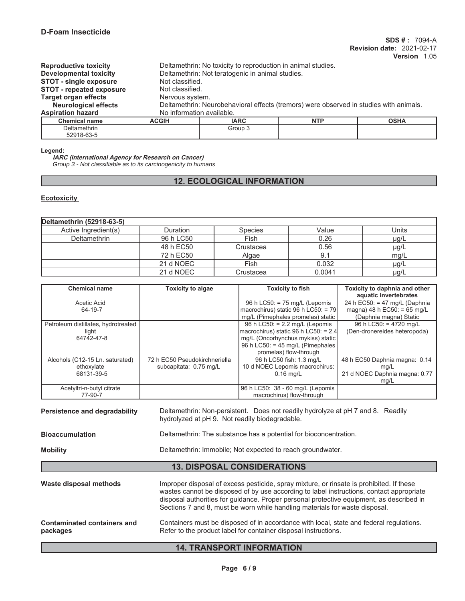52918-63-5

| <b>Reproductive toxicity</b>    |                           | Deltamethrin: No toxicity to reproduction in animal studies.                           |            |             |  |  |  |
|---------------------------------|---------------------------|----------------------------------------------------------------------------------------|------------|-------------|--|--|--|
| <b>Developmental toxicity</b>   |                           | Deltamethrin: Not teratogenic in animal studies.                                       |            |             |  |  |  |
| <b>STOT - single exposure</b>   |                           | Not classified.                                                                        |            |             |  |  |  |
| <b>STOT - repeated exposure</b> |                           | Not classified.                                                                        |            |             |  |  |  |
| <b>Target organ effects</b>     |                           | Nervous system.                                                                        |            |             |  |  |  |
| <b>Neurological effects</b>     |                           | Deltamethrin: Neurobehavioral effects (tremors) were observed in studies with animals. |            |             |  |  |  |
| <b>Aspiration hazard</b>        | No information available. |                                                                                        |            |             |  |  |  |
| <b>Chemical name</b>            | <b>ACGIH</b>              | <b>IARC</b>                                                                            | <b>NTP</b> | <b>OSHA</b> |  |  |  |
| Deltamethrin                    |                           | Group 3                                                                                |            |             |  |  |  |

**Legend:**

**IARC (International Agency for Research on Cancer)** *Group 3 - Not classifiable as to its carcinogenicity to humans*

# **12. ECOLOGICAL INFORMATION**

#### **Ecotoxicity**

| Deltamethrin (52918-63-5) |                 |                |        |           |
|---------------------------|-----------------|----------------|--------|-----------|
| Active Ingredient(s)      | <b>Duration</b> | <b>Species</b> | Value  | Units     |
| Deltamethrin              | 96 h LC50       | Fish           | 0.26   | $\mu$ g/L |
|                           | 48 h EC50       | Crustacea      | 0.56   | $\mu$ g/L |
|                           | 72 h EC50       | Algae          |        | mg/L      |
|                           | 21 d NOEC       | Fish           | 0.032  | µg/L      |
|                           | 21 d NOEC       | Crustacea      | 0.0041 | µg/L      |

| <b>Chemical name</b>                | <b>Toxicity to algae</b>      | <b>Toxicity to fish</b>                 | Toxicity to daphnia and other |
|-------------------------------------|-------------------------------|-----------------------------------------|-------------------------------|
|                                     |                               |                                         | aquatic invertebrates         |
| Acetic Acid                         |                               | 96 h LC50: $= 75$ mg/L (Lepomis         | 24 h EC50: = 47 mg/L (Daphnia |
| 64-19-7                             |                               | macrochirus) static 96 h LC50: = $79$   | magna) 48 h EC50: = 65 mg/L   |
|                                     |                               | mg/L (Pimephales promelas) static       | (Daphnia magna) Static        |
| Petroleum distillates, hydrotreated |                               | 96 h LC50: $= 2.2$ mg/L (Lepomis        | 96 h LC50: = 4720 mg/L        |
| light                               |                               | $ macrochirus $ static 96 h LC50: = 2.4 | (Den-dronereides heteropoda)  |
| 64742-47-8                          |                               | mg/L (Oncorhynchus mykiss) static       |                               |
|                                     |                               | 96 h LC50: = 45 mg/L (Pimephales        |                               |
|                                     |                               | promelas) flow-through                  |                               |
| Alcohols (C12-15 Ln. saturated)     | 72 h EC50 Pseudokirchneriella | 96 h LC50 fish: 1.3 mg/L                | 48 h EC50 Daphnia magna: 0.14 |
| ethoxylate                          | subcapitata: 0.75 mg/L        | 10 d NOEC Lepomis macrochirus:          | mg/L                          |
| 68131-39-5                          |                               | $0.16$ mg/L                             | 21 d NOEC Daphnia magna: 0.77 |
|                                     |                               |                                         | mg/L                          |
| Acetyltri-n-butyl citrate           |                               | 96 h LC50: 38 - 60 mg/L (Lepomis        |                               |
| 77-90-7                             |                               | macrochirus) flow-through               |                               |

**Persistence and degradability** Deltamethrin: Non-persistent. Does not readily hydrolyze at pH 7 and 8. Readily hydrolyzed at pH 9. Not readily biodegradable.

**Bioaccumulation** Deltamethrin: The substance has a potential for bioconcentration.

**Mobility** Deltamethrin: Immobile; Not expected to reach groundwater.

# **13. DISPOSAL CONSIDERATIONS**

| Waste disposal methods      | Improper disposal of excess pesticide, spray mixture, or rinsate is prohibited. If these<br>wastes cannot be disposed of by use according to label instructions, contact appropriate<br>disposal authorities for guidance. Proper personal protective equipment, as described in<br>Sections 7 and 8, must be worn while handling materials for waste disposal. |
|-----------------------------|-----------------------------------------------------------------------------------------------------------------------------------------------------------------------------------------------------------------------------------------------------------------------------------------------------------------------------------------------------------------|
| Contaminated containers and | Containers must be disposed of in accordance with local, state and federal regulations.                                                                                                                                                                                                                                                                         |
| packages                    | Refer to the product label for container disposal instructions.                                                                                                                                                                                                                                                                                                 |

# **14. TRANSPORT INFORMATION**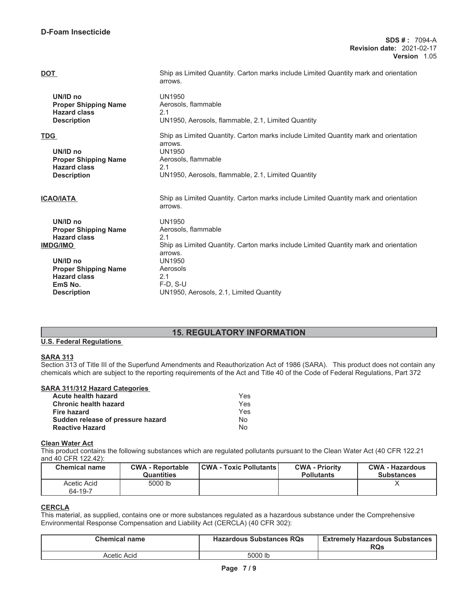# **D-Foam Insecticide**

| DOT                                                                                                                                                                                             | Ship as Limited Quantity. Carton marks include Limited Quantity mark and orientation<br>arrows.                                                                                                                                      |
|-------------------------------------------------------------------------------------------------------------------------------------------------------------------------------------------------|--------------------------------------------------------------------------------------------------------------------------------------------------------------------------------------------------------------------------------------|
| UN/ID no<br><b>Proper Shipping Name</b><br><b>Hazard class</b><br><b>Description</b>                                                                                                            | <b>UN1950</b><br>Aerosols, flammable<br>2.1<br>UN1950, Aerosols, flammable, 2.1, Limited Quantity                                                                                                                                    |
| <b>TDG</b><br>UN/ID no<br><b>Proper Shipping Name</b><br><b>Hazard class</b><br><b>Description</b>                                                                                              | Ship as Limited Quantity. Carton marks include Limited Quantity mark and orientation<br>arrows.<br>UN1950<br>Aerosols, flammable<br>2.1<br>UN1950, Aerosols, flammable, 2.1, Limited Quantity                                        |
| <b>ICAO/IATA</b>                                                                                                                                                                                | Ship as Limited Quantity. Carton marks include Limited Quantity mark and orientation<br>arrows.                                                                                                                                      |
| UN/ID no<br><b>Proper Shipping Name</b><br><b>Hazard class</b><br><b>IMDG/IMO</b><br>UN/ID no<br><b>Proper Shipping Name</b><br><b>Hazard class</b><br>EmS <sub>No.</sub><br><b>Description</b> | <b>UN1950</b><br>Aerosols, flammable<br>2.1<br>Ship as Limited Quantity. Carton marks include Limited Quantity mark and orientation<br>arrows.<br>UN1950<br>Aerosols<br>2.1<br>$F-D. S-U$<br>UN1950, Aerosols, 2.1, Limited Quantity |

# **15. REGULATORY INFORMATION**

# **U.S. Federal Regulations**

# **SARA 313**

Section 313 of Title III of the Superfund Amendments and Reauthorization Act of 1986 (SARA). This product does not contain any chemicals which are subject to the reporting requirements of the Act and Title 40 of the Code of Federal Regulations, Part 372

| <b>SARA 311/312 Hazard Categories</b> |                |
|---------------------------------------|----------------|
| <b>Acute health hazard</b>            | Yes            |
| <b>Chronic health hazard</b>          | Yes            |
| <b>Fire hazard</b>                    | Yes            |
| Sudden release of pressure hazard     | N <sub>0</sub> |
| <b>Reactive Hazard</b>                | N∩             |

#### **Clean Water Act**

This product contains the following substances which are regulated pollutants pursuant to the Clean Water Act (40 CFR 122.21 and 40 CFR 122.42):

| <b>Chemical name</b>   | <b>CWA - Reportable</b><br>Quantities | <b>CWA - Toxic Pollutants</b> | <b>CWA - Priority</b><br><b>Pollutants</b> | <b>CWA - Hazardous</b><br><b>Substances</b> |
|------------------------|---------------------------------------|-------------------------------|--------------------------------------------|---------------------------------------------|
| Acetic Acid<br>64-19-7 | 5000 lb                               |                               |                                            |                                             |

### **CERCLA**

This material, as supplied, contains one or more substances regulated as a hazardous substance under the Comprehensive Environmental Response Compensation and Liability Act (CERCLA) (40 CFR 302):

| <b>Chemical name</b> | <b>Hazardous Substances RQs</b> | <b>Extremely Hazardous Substances</b><br><b>RQs</b> |
|----------------------|---------------------------------|-----------------------------------------------------|
| Acetic Acid          | 5000 lb                         |                                                     |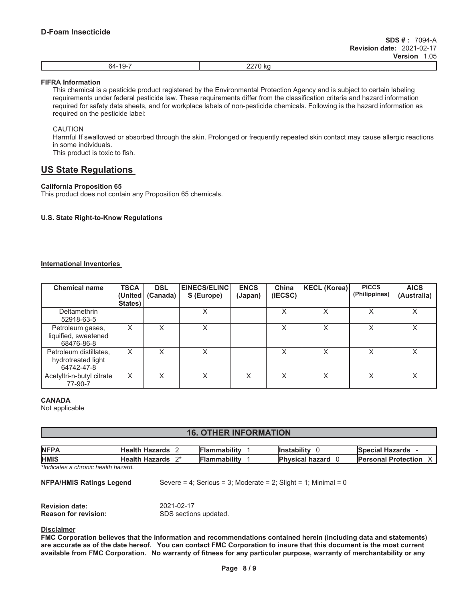|  | $\sim$ | -- |  |
|--|--------|----|--|
|--|--------|----|--|

#### **FIFRA Information**

This chemical is a pesticide product registered by the Environmental Protection Agency and is subject to certain labeling requirements under federal pesticide law. These requirements differ from the classification criteria and hazard information required for safety data sheets, and for workplace labels of non-pesticide chemicals. Following is the hazard information as required on the pesticide label:

### CAUTION

Harmful If swallowed or absorbed through the skin. Prolonged or frequently repeated skin contact may cause allergic reactions in some individuals.

This product is toxic to fish.

# **US State Regulations**

### **California Proposition 65**

This product does not contain any Proposition 65 chemicals.

### **U.S. State Right-to-Know Regulations**

### **International Inventories**

| <b>Chemical name</b>                                       | <b>TSCA</b><br>(United<br>States) | <b>DSL</b><br>(Canada) | EINECS/ELINC<br>S (Europe) | <b>ENCS</b><br>(Japan) | China<br>(IECSC) | KECL (Korea) | <b>PICCS</b><br>(Philippines) | <b>AICS</b><br>(Australia) |
|------------------------------------------------------------|-----------------------------------|------------------------|----------------------------|------------------------|------------------|--------------|-------------------------------|----------------------------|
| Deltamethrin<br>52918-63-5                                 |                                   |                        | X                          |                        | X                | Χ            | X                             | Χ                          |
| Petroleum gases,<br>liquified, sweetened<br>68476-86-8     | X                                 |                        |                            |                        | X                |              | x                             | X                          |
| Petroleum distillates,<br>hydrotreated light<br>64742-47-8 | X                                 | Χ                      |                            |                        | X                |              | X                             | Χ                          |
| Acetyltri-n-butyl citrate<br>77-90-7                       | X                                 | x                      |                            | X                      | X                | Χ            | X                             | Χ                          |

### **CANADA**

Not applicable

# **16. OTHER INFORMATION**

| <b>NFPA</b> | Health Hazards       | <b>Flammability</b> | <b>Instability</b>     | <b>Special</b><br><b>Hazards</b> |
|-------------|----------------------|---------------------|------------------------|----------------------------------|
| <b>HMIS</b> | ∩*<br>Health Hazards | <b>Flammability</b> | <b>Physical hazard</b> | <b>Personal Protection</b>       |

*\*Indicates a chronic health hazard.*

**NFPA/HMIS Ratings Legend** Severe = 4; Serious = 3; Moderate = 2; Slight = 1; Minimal = 0

| <b>Revision date:</b>       | 2021-02-17            |
|-----------------------------|-----------------------|
| <b>Reason for revision:</b> | SDS sections updated. |

#### **Disclaimer**

**FMC Corporation believes that the information and recommendations contained herein (including data and statements) are accurate as of the date hereof. You can contact FMC Corporation to insure that this document is the most current available from FMC Corporation. No warranty of fitness for any particular purpose, warranty of merchantability or any**